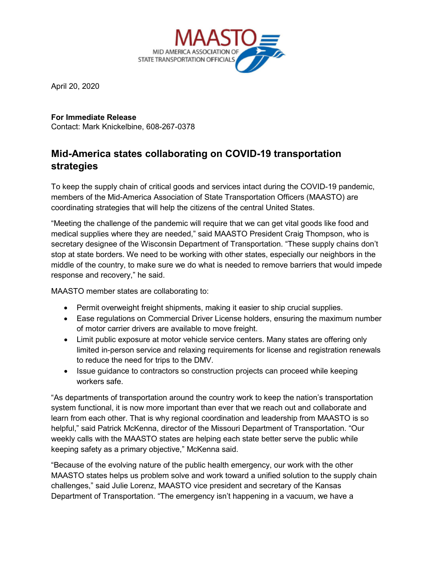

April 20, 2020

**For Immediate Release** Contact: Mark Knickelbine, 608-267-0378

## **Mid-America states collaborating on COVID-19 transportation strategies**

To keep the supply chain of critical goods and services intact during the COVID-19 pandemic, members of the Mid-America Association of State Transportation Officers (MAASTO) are coordinating strategies that will help the citizens of the central United States.

"Meeting the challenge of the pandemic will require that we can get vital goods like food and medical supplies where they are needed," said MAASTO President Craig Thompson, who is secretary designee of the Wisconsin Department of Transportation. "These supply chains don't stop at state borders. We need to be working with other states, especially our neighbors in the middle of the country, to make sure we do what is needed to remove barriers that would impede response and recovery," he said.

MAASTO member states are collaborating to:

- Permit overweight freight shipments, making it easier to ship crucial supplies.
- Ease regulations on Commercial Driver License holders, ensuring the maximum number of motor carrier drivers are available to move freight.
- Limit public exposure at motor vehicle service centers. Many states are offering only limited in-person service and relaxing requirements for license and registration renewals to reduce the need for trips to the DMV.
- Issue guidance to contractors so construction projects can proceed while keeping workers safe.

"As departments of transportation around the country work to keep the nation's transportation system functional, it is now more important than ever that we reach out and collaborate and learn from each other. That is why regional coordination and leadership from MAASTO is so helpful," said Patrick McKenna, director of the Missouri Department of Transportation. "Our weekly calls with the MAASTO states are helping each state better serve the public while keeping safety as a primary objective," McKenna said.

"Because of the evolving nature of the public health emergency, our work with the other MAASTO states helps us problem solve and work toward a unified solution to the supply chain challenges," said Julie Lorenz, MAASTO vice president and secretary of the Kansas Department of Transportation. "The emergency isn't happening in a vacuum, we have a